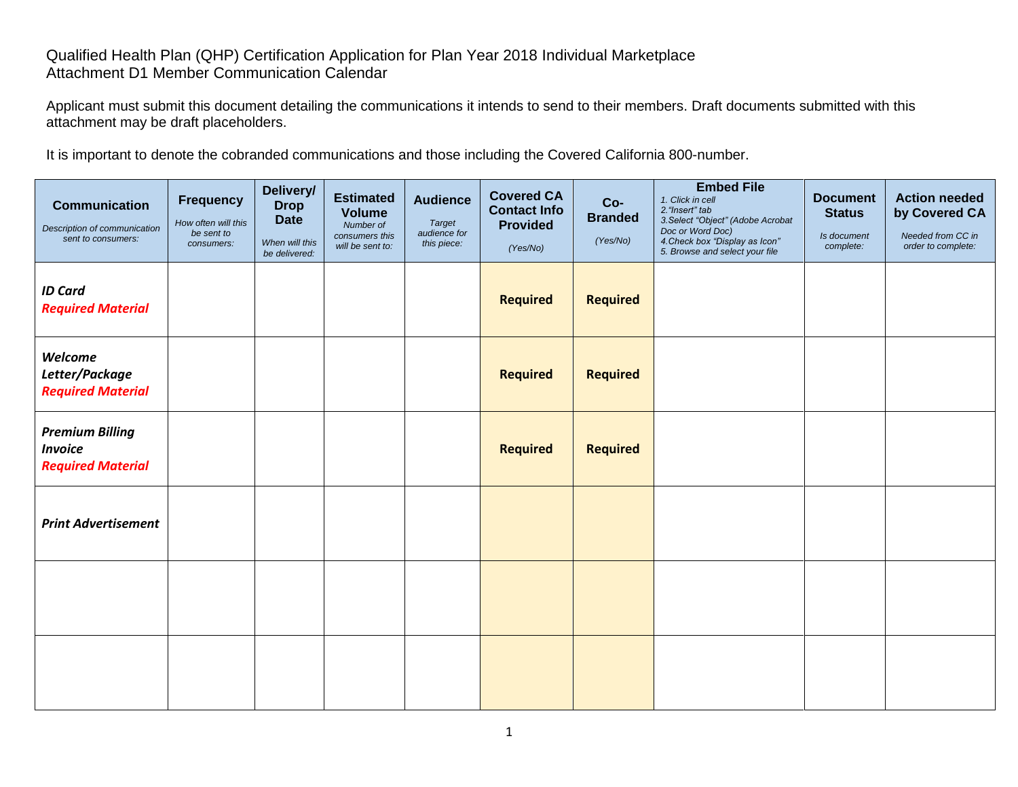## Qualified Health Plan (QHP) Certification Application for Plan Year 2018 Individual Marketplace Attachment D1 Member Communication Calendar

Applicant must submit this document detailing the communications it intends to send to their members. Draft documents submitted with this attachment may be draft placeholders.

It is important to denote the cobranded communications and those including the Covered California 800-number.

| <b>Communication</b><br>Description of communication<br>sent to consumers: | <b>Frequency</b><br>How often will this<br>be sent to<br>consumers: | Delivery/<br><b>Drop</b><br><b>Date</b><br>When will this<br>be delivered: | <b>Estimated</b><br><b>Volume</b><br>Number of<br>consumers this<br>will be sent to: | <b>Audience</b><br><b>Target</b><br>audience for<br>this piece: | <b>Covered CA</b><br><b>Contact Info</b><br><b>Provided</b><br>(Yes/No) | Co-<br><b>Branded</b><br>(Yes/No) | <b>Embed File</b><br>1. Click in cell<br>2. "Insert" tab<br>3. Select "Object" (Adobe Acrobat<br>Doc or Word Doc)<br>4. Check box "Display as Icon"<br>5. Browse and select your file | <b>Document</b><br><b>Status</b><br>Is document<br>complete: | <b>Action needed</b><br>by Covered CA<br>Needed from CC in<br>order to complete: |
|----------------------------------------------------------------------------|---------------------------------------------------------------------|----------------------------------------------------------------------------|--------------------------------------------------------------------------------------|-----------------------------------------------------------------|-------------------------------------------------------------------------|-----------------------------------|---------------------------------------------------------------------------------------------------------------------------------------------------------------------------------------|--------------------------------------------------------------|----------------------------------------------------------------------------------|
| <b>ID Card</b><br><b>Required Material</b>                                 |                                                                     |                                                                            |                                                                                      |                                                                 | <b>Required</b>                                                         | <b>Required</b>                   |                                                                                                                                                                                       |                                                              |                                                                                  |
| Welcome<br>Letter/Package<br><b>Required Material</b>                      |                                                                     |                                                                            |                                                                                      |                                                                 | <b>Required</b>                                                         | <b>Required</b>                   |                                                                                                                                                                                       |                                                              |                                                                                  |
| <b>Premium Billing</b><br><b>Invoice</b><br><b>Required Material</b>       |                                                                     |                                                                            |                                                                                      |                                                                 | <b>Required</b>                                                         | <b>Required</b>                   |                                                                                                                                                                                       |                                                              |                                                                                  |
| <b>Print Advertisement</b>                                                 |                                                                     |                                                                            |                                                                                      |                                                                 |                                                                         |                                   |                                                                                                                                                                                       |                                                              |                                                                                  |
|                                                                            |                                                                     |                                                                            |                                                                                      |                                                                 |                                                                         |                                   |                                                                                                                                                                                       |                                                              |                                                                                  |
|                                                                            |                                                                     |                                                                            |                                                                                      |                                                                 |                                                                         |                                   |                                                                                                                                                                                       |                                                              |                                                                                  |